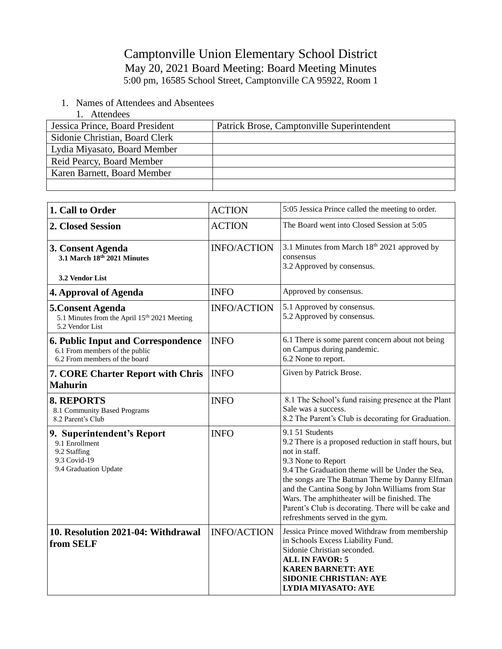## Camptonville Union Elementary School District May 20, 2021 Board Meeting: Board Meeting Minutes 5:00 pm, 16585 School Street, Camptonville CA 95922, Room 1

- 1. Names of Attendees and Absentees
	- 1. Attendees

| Jessica Prince, Board President | Patrick Brose, Camptonville Superintendent |
|---------------------------------|--------------------------------------------|
| Sidonie Christian, Board Clerk  |                                            |
| Lydia Miyasato, Board Member    |                                            |
| Reid Pearcy, Board Member       |                                            |
| Karen Barnett, Board Member     |                                            |
|                                 |                                            |

| 1. Call to Order                                                                                             | <b>ACTION</b>      | 5:05 Jessica Prince called the meeting to order.                                                                                                                                                                                                                                                                                                                                                                  |
|--------------------------------------------------------------------------------------------------------------|--------------------|-------------------------------------------------------------------------------------------------------------------------------------------------------------------------------------------------------------------------------------------------------------------------------------------------------------------------------------------------------------------------------------------------------------------|
| 2. Closed Session                                                                                            | <b>ACTION</b>      | The Board went into Closed Session at 5:05                                                                                                                                                                                                                                                                                                                                                                        |
| 3. Consent Agenda<br>3.1 March 18th 2021 Minutes<br>3.2 Vendor List                                          | <b>INFO/ACTION</b> | 3.1 Minutes from March 18th 2021 approved by<br>consensus<br>3.2 Approved by consensus.                                                                                                                                                                                                                                                                                                                           |
| 4. Approval of Agenda                                                                                        | <b>INFO</b>        | Approved by consensus.                                                                                                                                                                                                                                                                                                                                                                                            |
| 5. Consent Agenda<br>5.1 Minutes from the April 15 <sup>th</sup> 2021 Meeting<br>5.2 Vendor List             | <b>INFO/ACTION</b> | 5.1 Approved by consensus.<br>5.2 Approved by consensus.                                                                                                                                                                                                                                                                                                                                                          |
| <b>6. Public Input and Correspondence</b><br>6.1 From members of the public<br>6.2 From members of the board | <b>INFO</b>        | 6.1 There is some parent concern about not being<br>on Campus during pandemic.<br>6.2 None to report.                                                                                                                                                                                                                                                                                                             |
| <b>7. CORE Charter Report with Chris</b><br><b>Mahurin</b>                                                   | <b>INFO</b>        | Given by Patrick Brose.                                                                                                                                                                                                                                                                                                                                                                                           |
| <b>8. REPORTS</b><br>8.1 Community Based Programs<br>8.2 Parent's Club                                       | <b>INFO</b>        | 8.1 The School's fund raising presence at the Plant<br>Sale was a success.<br>8.2 The Parent's Club is decorating for Graduation.                                                                                                                                                                                                                                                                                 |
| 9. Superintendent's Report<br>9.1 Enrollment<br>9.2 Staffing<br>9.3 Covid-19<br>9.4 Graduation Update        | <b>INFO</b>        | 9.1 51 Students<br>9.2 There is a proposed reduction in staff hours, but<br>not in staff.<br>9.3 None to Report<br>9.4 The Graduation theme will be Under the Sea,<br>the songs are The Batman Theme by Danny Elfman<br>and the Cantina Song by John Williams from Star<br>Wars. The amphitheater will be finished. The<br>Parent's Club is decorating. There will be cake and<br>refreshments served in the gym. |
| 10. Resolution 2021-04: Withdrawal<br>from SELF                                                              | <b>INFO/ACTION</b> | Jessica Prince moved Withdraw from membership<br>in Schools Excess Liability Fund.<br>Sidonie Christian seconded.<br><b>ALL IN FAVOR: 5</b><br><b>KAREN BARNETT: AYE</b><br><b>SIDONIE CHRISTIAN: AYE</b><br><b>LYDIA MIYASATO: AYE</b>                                                                                                                                                                           |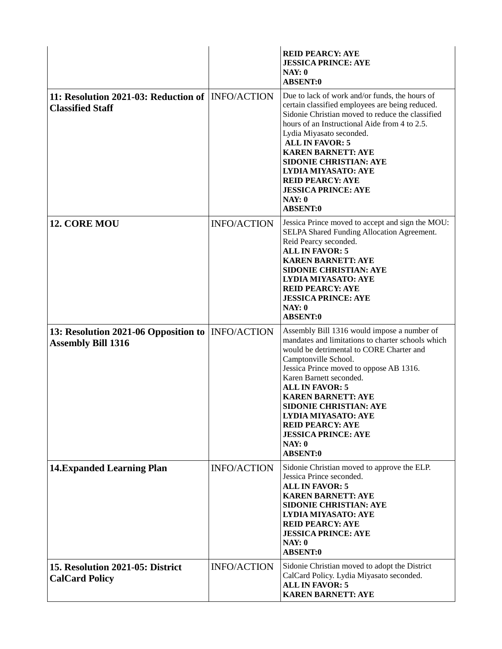|                                                                                |                    | <b>REID PEARCY: AYE</b><br><b>JESSICA PRINCE: AYE</b><br>NAY: 0<br><b>ABSENT:0</b>                                                                                                                                                                                                                                                                                                                                                                     |
|--------------------------------------------------------------------------------|--------------------|--------------------------------------------------------------------------------------------------------------------------------------------------------------------------------------------------------------------------------------------------------------------------------------------------------------------------------------------------------------------------------------------------------------------------------------------------------|
| 11: Resolution 2021-03: Reduction of INFO/ACTION<br><b>Classified Staff</b>    |                    | Due to lack of work and/or funds, the hours of<br>certain classified employees are being reduced.<br>Sidonie Christian moved to reduce the classified<br>hours of an Instructional Aide from 4 to 2.5.<br>Lydia Miyasato seconded.<br><b>ALL IN FAVOR: 5</b><br><b>KAREN BARNETT: AYE</b><br><b>SIDONIE CHRISTIAN: AYE</b><br><b>LYDIA MIYASATO: AYE</b><br><b>REID PEARCY: AYE</b><br><b>JESSICA PRINCE: AYE</b><br>NAY: 0<br><b>ABSENT:0</b>         |
| 12. CORE MOU                                                                   | <b>INFO/ACTION</b> | Jessica Prince moved to accept and sign the MOU:<br>SELPA Shared Funding Allocation Agreement.<br>Reid Pearcy seconded.<br><b>ALL IN FAVOR: 5</b><br><b>KAREN BARNETT: AYE</b><br><b>SIDONIE CHRISTIAN: AYE</b><br><b>LYDIA MIYASATO: AYE</b><br><b>REID PEARCY: AYE</b><br><b>JESSICA PRINCE: AYE</b><br>NAY: 0<br><b>ABSENT:0</b>                                                                                                                    |
| 13: Resolution 2021-06 Opposition to  INFO/ACTION<br><b>Assembly Bill 1316</b> |                    | Assembly Bill 1316 would impose a number of<br>mandates and limitations to charter schools which<br>would be detrimental to CORE Charter and<br>Camptonville School.<br>Jessica Prince moved to oppose AB 1316.<br>Karen Barnett seconded.<br><b>ALL IN FAVOR: 5</b><br><b>KAREN BARNETT: AYE</b><br><b>SIDONIE CHRISTIAN: AYE</b><br><b>LYDIA MIYASATO: AYE</b><br><b>REID PEARCY: AYE</b><br><b>JESSICA PRINCE: AYE</b><br>NAY: 0<br><b>ABSENT:0</b> |
| <b>14. Expanded Learning Plan</b>                                              | <b>INFO/ACTION</b> | Sidonie Christian moved to approve the ELP.<br>Jessica Prince seconded.<br><b>ALL IN FAVOR: 5</b><br><b>KAREN BARNETT: AYE</b><br><b>SIDONIE CHRISTIAN: AYE</b><br><b>LYDIA MIYASATO: AYE</b><br><b>REID PEARCY: AYE</b><br><b>JESSICA PRINCE: AYE</b><br>NAY: 0<br><b>ABSENT:0</b>                                                                                                                                                                    |
| 15. Resolution 2021-05: District<br><b>CalCard Policy</b>                      | <b>INFO/ACTION</b> | Sidonie Christian moved to adopt the District<br>CalCard Policy. Lydia Miyasato seconded.<br><b>ALL IN FAVOR: 5</b><br><b>KAREN BARNETT: AYE</b>                                                                                                                                                                                                                                                                                                       |